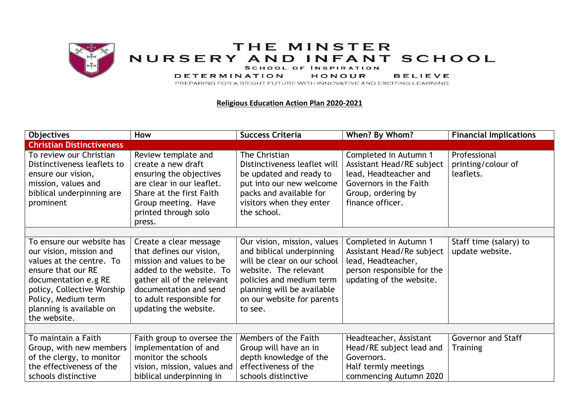

## THE MINSTER NURSERY AND INFANT SCHOOL

SCHOOL OF INSPIRATION

**DETERMINATION HONOUR BELIEVE** 

PREPARING FOR A BRIGHT FUTURE WITH INNOVATIVE AND EXCITING LEARNING

## **Religious Education Action Plan 2020-2021**

| <b>Objectives</b>                                                                                                                                                                                  | How                                                                                                                                                                                           | <b>Success Criteria</b>                                                                                                                                                              | When? By Whom?                                                                                                                                  | <b>Financial Implications</b>                   |
|----------------------------------------------------------------------------------------------------------------------------------------------------------------------------------------------------|-----------------------------------------------------------------------------------------------------------------------------------------------------------------------------------------------|--------------------------------------------------------------------------------------------------------------------------------------------------------------------------------------|-------------------------------------------------------------------------------------------------------------------------------------------------|-------------------------------------------------|
| <b>Christian Distinctiveness</b>                                                                                                                                                                   |                                                                                                                                                                                               |                                                                                                                                                                                      |                                                                                                                                                 |                                                 |
| To review our Christian<br>Distinctiveness leaflets to<br>ensure our vision,<br>mission, values and<br>biblical underpinning are<br>prominent                                                      | Review template and<br>create a new draft<br>ensuring the objectives<br>are clear in our leaflet.<br>Share at the first Faith<br>Group meeting. Have<br>printed through solo<br>press.        | The Christian<br>Distinctiveness leaflet will<br>be updated and ready to<br>put into our new welcome<br>packs and available for<br>visitors when they enter<br>the school.           | Completed in Autumn 1<br>Assistant Head/RE subject<br>lead, Headteacher and<br>Governors in the Faith<br>Group, ordering by<br>finance officer. | Professional<br>printing/colour of<br>leaflets. |
|                                                                                                                                                                                                    |                                                                                                                                                                                               |                                                                                                                                                                                      |                                                                                                                                                 |                                                 |
| To ensure our website has                                                                                                                                                                          | Create a clear message                                                                                                                                                                        | Our vision, mission, values                                                                                                                                                          | Completed in Autumn 1                                                                                                                           | Staff time (salary) to                          |
| our vision, mission and<br>values at the centre. To<br>ensure that our RE<br>documentation e.g RE<br>policy, Collective Worship<br>Policy, Medium term<br>planning is available on<br>the website. | that defines our vision,<br>mission and values to be<br>added to the website. To<br>gather all of the relevant<br>documentation and send<br>to adult responsible for<br>updating the website. | and biblical underpinning<br>will be clear on our school<br>website. The relevant<br>policies and medium term<br>planning will be available<br>on our website for parents<br>to see. | Assistant Head/Re subject<br>lead, Headteacher,<br>person responsible for the<br>updating of the website.                                       | update website.                                 |
| To maintain a Faith                                                                                                                                                                                |                                                                                                                                                                                               | Members of the Faith                                                                                                                                                                 |                                                                                                                                                 | <b>Governor and Staff</b>                       |
|                                                                                                                                                                                                    | Faith group to oversee the                                                                                                                                                                    |                                                                                                                                                                                      | Headteacher, Assistant                                                                                                                          |                                                 |
| Group, with new members                                                                                                                                                                            | implementation of and<br>monitor the schools                                                                                                                                                  | Group will have an in                                                                                                                                                                | Head/RE subject lead and                                                                                                                        | <b>Training</b>                                 |
| of the clergy, to monitor                                                                                                                                                                          |                                                                                                                                                                                               | depth knowledge of the                                                                                                                                                               | Governors.                                                                                                                                      |                                                 |
| the effectiveness of the                                                                                                                                                                           | vision, mission, values and                                                                                                                                                                   | effectiveness of the                                                                                                                                                                 | Half termly meetings                                                                                                                            |                                                 |
| schools distinctive                                                                                                                                                                                | biblical underpinning in                                                                                                                                                                      | schools distinctive                                                                                                                                                                  | commencing Autumn 2020                                                                                                                          |                                                 |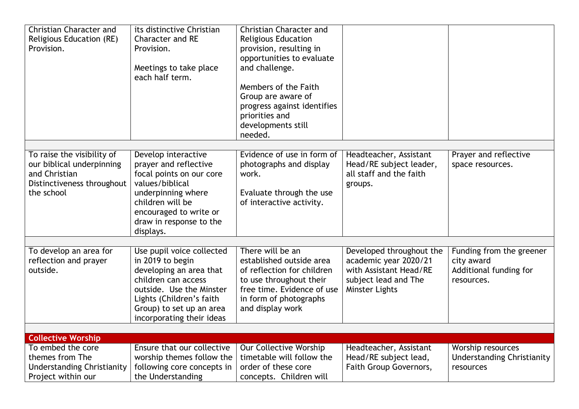| <b>Christian Character and</b><br>Religious Education (RE)<br>Provision.                                             | its distinctive Christian<br><b>Character and RE</b><br>Provision.<br>Meetings to take place<br>each half term.                                                                                                  | <b>Christian Character and</b><br><b>Religious Education</b><br>provision, resulting in<br>opportunities to evaluate<br>and challenge.<br>Members of the Faith<br>Group are aware of<br>progress against identifies |                                                                                                                              |                                                                                |
|----------------------------------------------------------------------------------------------------------------------|------------------------------------------------------------------------------------------------------------------------------------------------------------------------------------------------------------------|---------------------------------------------------------------------------------------------------------------------------------------------------------------------------------------------------------------------|------------------------------------------------------------------------------------------------------------------------------|--------------------------------------------------------------------------------|
|                                                                                                                      |                                                                                                                                                                                                                  | priorities and<br>developments still<br>needed.                                                                                                                                                                     |                                                                                                                              |                                                                                |
|                                                                                                                      |                                                                                                                                                                                                                  |                                                                                                                                                                                                                     |                                                                                                                              |                                                                                |
| To raise the visibility of<br>our biblical underpinning<br>and Christian<br>Distinctiveness throughout<br>the school | Develop interactive<br>prayer and reflective<br>focal points on our core<br>values/biblical<br>underpinning where<br>children will be<br>encouraged to write or<br>draw in response to the<br>displays.          | Evidence of use in form of<br>photographs and display<br>work.<br>Evaluate through the use<br>of interactive activity.                                                                                              | Headteacher, Assistant<br>Head/RE subject leader,<br>all staff and the faith<br>groups.                                      | Prayer and reflective<br>space resources.                                      |
|                                                                                                                      |                                                                                                                                                                                                                  |                                                                                                                                                                                                                     |                                                                                                                              |                                                                                |
| To develop an area for<br>reflection and prayer<br>outside.                                                          | Use pupil voice collected<br>in 2019 to begin<br>developing an area that<br>children can access<br>outside. Use the Minster<br>Lights (Children's faith<br>Group) to set up an area<br>incorporating their ideas | There will be an<br>established outside area<br>of reflection for children<br>to use throughout their<br>free time. Evidence of use<br>in form of photographs<br>and display work                                   | Developed throughout the<br>academic year 2020/21<br>with Assistant Head/RE<br>subject lead and The<br><b>Minster Lights</b> | Funding from the greener<br>city award<br>Additional funding for<br>resources. |
| <b>Collective Worship</b>                                                                                            |                                                                                                                                                                                                                  |                                                                                                                                                                                                                     |                                                                                                                              |                                                                                |
| To embed the core                                                                                                    | Ensure that our collective                                                                                                                                                                                       | Our Collective Worship                                                                                                                                                                                              | Headteacher, Assistant                                                                                                       | Worship resources                                                              |
| themes from The                                                                                                      | worship themes follow the                                                                                                                                                                                        | timetable will follow the                                                                                                                                                                                           | Head/RE subject lead,                                                                                                        | <b>Understanding Christianity</b>                                              |
| <b>Understanding Christianity</b><br>Project within our                                                              | following core concepts in<br>the Understanding                                                                                                                                                                  | order of these core<br>concepts. Children will                                                                                                                                                                      | Faith Group Governors,                                                                                                       | resources                                                                      |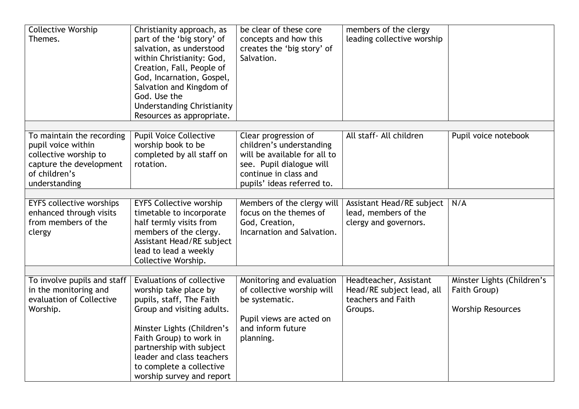| <b>Collective Worship</b><br>Themes.                                                         | Christianity approach, as<br>part of the 'big story' of<br>salvation, as understood<br>within Christianity: God,<br>Creation, Fall, People of<br>God, Incarnation, Gospel,<br>Salvation and Kingdom of<br>God. Use the<br><b>Understanding Christianity</b><br>Resources as appropriate. | be clear of these core<br>concepts and how this<br>creates the 'big story' of<br>Salvation.          | members of the clergy<br>leading collective worship                                  |                                                                        |
|----------------------------------------------------------------------------------------------|------------------------------------------------------------------------------------------------------------------------------------------------------------------------------------------------------------------------------------------------------------------------------------------|------------------------------------------------------------------------------------------------------|--------------------------------------------------------------------------------------|------------------------------------------------------------------------|
| To maintain the recording<br>pupil voice within<br>collective worship to                     | <b>Pupil Voice Collective</b><br>worship book to be<br>completed by all staff on                                                                                                                                                                                                         | Clear progression of<br>children's understanding<br>will be available for all to                     | All staff- All children                                                              | Pupil voice notebook                                                   |
| capture the development<br>of children's<br>understanding                                    | rotation.                                                                                                                                                                                                                                                                                | see. Pupil dialogue will<br>continue in class and<br>pupils' ideas referred to.                      |                                                                                      |                                                                        |
|                                                                                              |                                                                                                                                                                                                                                                                                          |                                                                                                      |                                                                                      |                                                                        |
| <b>EYFS collective worships</b><br>enhanced through visits<br>from members of the<br>clergy  | <b>EYFS Collective worship</b><br>timetable to incorporate<br>half termly visits from<br>members of the clergy.<br>Assistant Head/RE subject<br>lead to lead a weekly<br>Collective Worship.                                                                                             | Members of the clergy will<br>focus on the themes of<br>God, Creation,<br>Incarnation and Salvation. | Assistant Head/RE subject<br>lead, members of the<br>clergy and governors.           | N/A                                                                    |
|                                                                                              |                                                                                                                                                                                                                                                                                          |                                                                                                      |                                                                                      |                                                                        |
| To involve pupils and staff<br>in the monitoring and<br>evaluation of Collective<br>Worship. | Evaluations of collective<br>worship take place by<br>pupils, staff, The Faith<br>Group and visiting adults.                                                                                                                                                                             | Monitoring and evaluation<br>of collective worship will<br>be systematic.                            | Headteacher, Assistant<br>Head/RE subject lead, all<br>teachers and Faith<br>Groups. | Minster Lights (Children's<br>Faith Group)<br><b>Worship Resources</b> |
|                                                                                              | Minster Lights (Children's<br>Faith Group) to work in<br>partnership with subject<br>leader and class teachers<br>to complete a collective<br>worship survey and report                                                                                                                  | Pupil views are acted on<br>and inform future<br>planning.                                           |                                                                                      |                                                                        |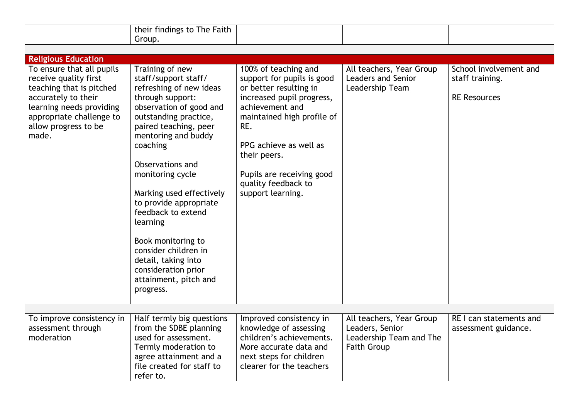|                                                                                                                                                                                                | their findings to The Faith                                                                                                                                                                                                                                                                                                                                                                                                                                              |                                                                                                                                                                                                                                                                                      |                                                                                              |                                                                  |  |  |
|------------------------------------------------------------------------------------------------------------------------------------------------------------------------------------------------|--------------------------------------------------------------------------------------------------------------------------------------------------------------------------------------------------------------------------------------------------------------------------------------------------------------------------------------------------------------------------------------------------------------------------------------------------------------------------|--------------------------------------------------------------------------------------------------------------------------------------------------------------------------------------------------------------------------------------------------------------------------------------|----------------------------------------------------------------------------------------------|------------------------------------------------------------------|--|--|
|                                                                                                                                                                                                | Group.                                                                                                                                                                                                                                                                                                                                                                                                                                                                   |                                                                                                                                                                                                                                                                                      |                                                                                              |                                                                  |  |  |
|                                                                                                                                                                                                |                                                                                                                                                                                                                                                                                                                                                                                                                                                                          |                                                                                                                                                                                                                                                                                      |                                                                                              |                                                                  |  |  |
| <b>Religious Education</b>                                                                                                                                                                     |                                                                                                                                                                                                                                                                                                                                                                                                                                                                          |                                                                                                                                                                                                                                                                                      |                                                                                              |                                                                  |  |  |
| To ensure that all pupils<br>receive quality first<br>teaching that is pitched<br>accurately to their<br>learning needs providing<br>appropriate challenge to<br>allow progress to be<br>made. | Training of new<br>staff/support staff/<br>refreshing of new ideas<br>through support:<br>observation of good and<br>outstanding practice,<br>paired teaching, peer<br>mentoring and buddy<br>coaching<br>Observations and<br>monitoring cycle<br>Marking used effectively<br>to provide appropriate<br>feedback to extend<br>learning<br>Book monitoring to<br>consider children in<br>detail, taking into<br>consideration prior<br>attainment, pitch and<br>progress. | 100% of teaching and<br>support for pupils is good<br>or better resulting in<br>increased pupil progress,<br>achievement and<br>maintained high profile of<br>RE.<br>PPG achieve as well as<br>their peers.<br>Pupils are receiving good<br>quality feedback to<br>support learning. | All teachers, Year Group<br><b>Leaders and Senior</b><br>Leadership Team                     | School involvement and<br>staff training.<br><b>RE Resources</b> |  |  |
|                                                                                                                                                                                                |                                                                                                                                                                                                                                                                                                                                                                                                                                                                          |                                                                                                                                                                                                                                                                                      |                                                                                              |                                                                  |  |  |
| To improve consistency in<br>assessment through<br>moderation                                                                                                                                  | Half termly big questions<br>from the SDBE planning<br>used for assessment.<br>Termly moderation to<br>agree attainment and a<br>file created for staff to<br>refer to.                                                                                                                                                                                                                                                                                                  | Improved consistency in<br>knowledge of assessing<br>children's achievements.<br>More accurate data and<br>next steps for children<br>clearer for the teachers                                                                                                                       | All teachers, Year Group<br>Leaders, Senior<br>Leadership Team and The<br><b>Faith Group</b> | RE I can statements and<br>assessment guidance.                  |  |  |